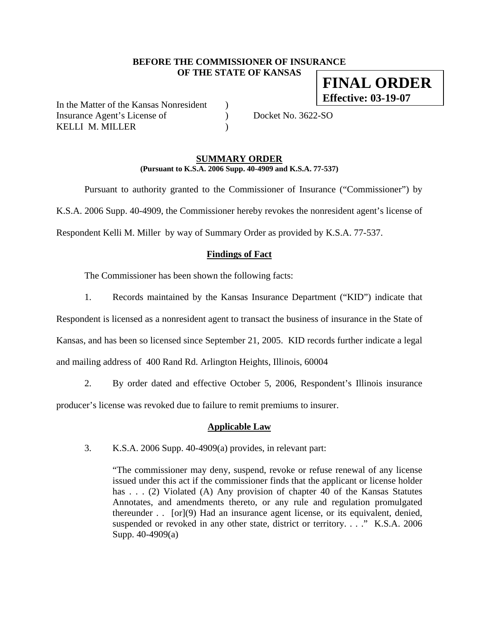### **BEFORE THE COMMISSIONER OF INSURANCE OF THE STATE OF KANSAS FINAL ORDER**

In the Matter of the Kansas Nonresident ) Insurance Agent's License of (a) Docket No. 3622-SO KELLI M. MILLER (1998)

**Effective: 03-19-07**

### **SUMMARY ORDER (Pursuant to K.S.A. 2006 Supp. 40-4909 and K.S.A. 77-537)**

 Pursuant to authority granted to the Commissioner of Insurance ("Commissioner") by K.S.A. 2006 Supp. 40-4909, the Commissioner hereby revokes the nonresident agent's license of Respondent Kelli M. Miller by way of Summary Order as provided by K.S.A. 77-537.

## **Findings of Fact**

The Commissioner has been shown the following facts:

1. Records maintained by the Kansas Insurance Department ("KID") indicate that

Respondent is licensed as a nonresident agent to transact the business of insurance in the State of Kansas, and has been so licensed since September 21, 2005. KID records further indicate a legal

and mailing address of 400 Rand Rd. Arlington Heights, Illinois, 60004

2. By order dated and effective October 5, 2006, Respondent's Illinois insurance producer's license was revoked due to failure to remit premiums to insurer.

### **Applicable Law**

3. K.S.A. 2006 Supp. 40-4909(a) provides, in relevant part:

"The commissioner may deny, suspend, revoke or refuse renewal of any license issued under this act if the commissioner finds that the applicant or license holder has . . . (2) Violated (A) Any provision of chapter 40 of the Kansas Statutes Annotates, and amendments thereto, or any rule and regulation promulgated thereunder . . [or](9) Had an insurance agent license, or its equivalent, denied, suspended or revoked in any other state, district or territory. . . ." K.S.A. 2006 Supp. 40-4909(a)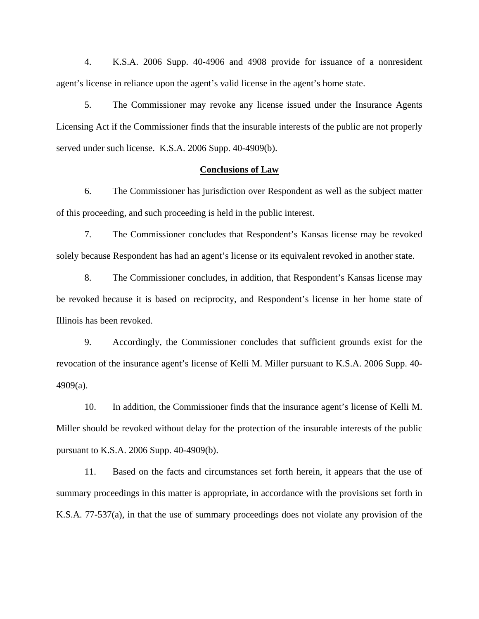4. K.S.A. 2006 Supp. 40-4906 and 4908 provide for issuance of a nonresident agent's license in reliance upon the agent's valid license in the agent's home state.

5. The Commissioner may revoke any license issued under the Insurance Agents Licensing Act if the Commissioner finds that the insurable interests of the public are not properly served under such license. K.S.A. 2006 Supp. 40-4909(b).

#### **Conclusions of Law**

6. The Commissioner has jurisdiction over Respondent as well as the subject matter of this proceeding, and such proceeding is held in the public interest.

7. The Commissioner concludes that Respondent's Kansas license may be revoked solely because Respondent has had an agent's license or its equivalent revoked in another state.

8. The Commissioner concludes, in addition, that Respondent's Kansas license may be revoked because it is based on reciprocity, and Respondent's license in her home state of Illinois has been revoked.

9. Accordingly, the Commissioner concludes that sufficient grounds exist for the revocation of the insurance agent's license of Kelli M. Miller pursuant to K.S.A. 2006 Supp. 40- 4909(a).

10. In addition, the Commissioner finds that the insurance agent's license of Kelli M. Miller should be revoked without delay for the protection of the insurable interests of the public pursuant to K.S.A. 2006 Supp. 40-4909(b).

11. Based on the facts and circumstances set forth herein, it appears that the use of summary proceedings in this matter is appropriate, in accordance with the provisions set forth in K.S.A. 77-537(a), in that the use of summary proceedings does not violate any provision of the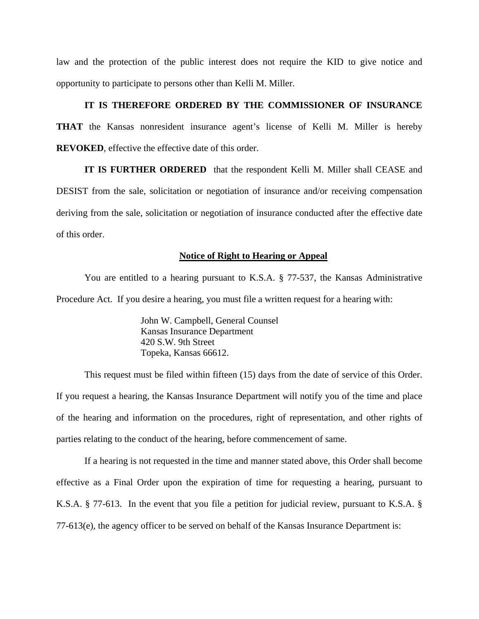law and the protection of the public interest does not require the KID to give notice and opportunity to participate to persons other than Kelli M. Miller.

### **IT IS THEREFORE ORDERED BY THE COMMISSIONER OF INSURANCE**

**THAT** the Kansas nonresident insurance agent's license of Kelli M. Miller is hereby **REVOKED**, effective the effective date of this order.

**IT IS FURTHER ORDERED** that the respondent Kelli M. Miller shall CEASE and DESIST from the sale, solicitation or negotiation of insurance and/or receiving compensation deriving from the sale, solicitation or negotiation of insurance conducted after the effective date of this order.

#### **Notice of Right to Hearing or Appeal**

You are entitled to a hearing pursuant to K.S.A. § 77-537, the Kansas Administrative Procedure Act. If you desire a hearing, you must file a written request for a hearing with:

> John W. Campbell, General Counsel Kansas Insurance Department 420 S.W. 9th Street Topeka, Kansas 66612.

This request must be filed within fifteen (15) days from the date of service of this Order. If you request a hearing, the Kansas Insurance Department will notify you of the time and place of the hearing and information on the procedures, right of representation, and other rights of parties relating to the conduct of the hearing, before commencement of same.

If a hearing is not requested in the time and manner stated above, this Order shall become effective as a Final Order upon the expiration of time for requesting a hearing, pursuant to K.S.A. § 77-613. In the event that you file a petition for judicial review, pursuant to K.S.A. § 77-613(e), the agency officer to be served on behalf of the Kansas Insurance Department is: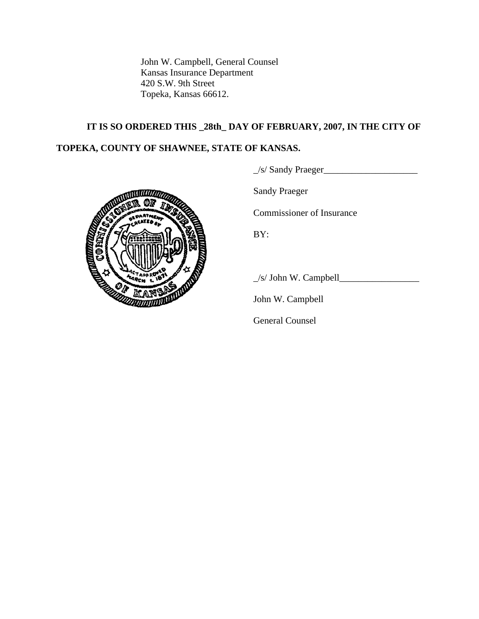John W. Campbell, General Counsel Kansas Insurance Department 420 S.W. 9th Street Topeka, Kansas 66612.

# **IT IS SO ORDERED THIS \_28th\_ DAY OF FEBRUARY, 2007, IN THE CITY OF**

# **TOPEKA, COUNTY OF SHAWNEE, STATE OF KANSAS.**

\_/s/ Sandy Praeger\_\_\_\_\_\_\_\_\_\_\_\_\_\_\_\_\_\_\_\_



Sandy Praeger

Commissioner of Insurance

\_/s/ John W. Campbell\_\_\_\_\_\_\_\_\_\_\_\_\_\_\_\_\_

John W. Campbell

General Counsel